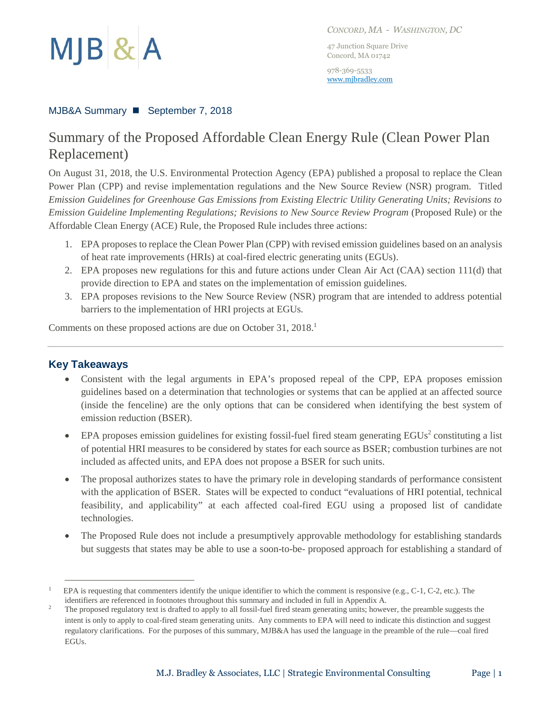

*CONCORD, MA - WASHINGTON, DC*

47 Junction Square Drive Concord, MA 01742

978-369-5533 [www.mjbradley.com](http://www.mjbradley.com/)

### MJB&A Summary ◼ September 7, 2018

# Summary of the Proposed Affordable Clean Energy Rule (Clean Power Plan Replacement)

On August 31, 2018, the U.S. Environmental Protection Agency (EPA) published a proposal to replace the Clean Power Plan (CPP) and revise implementation regulations and the New Source Review (NSR) program. Titled *Emission Guidelines for Greenhouse Gas Emissions from Existing Electric Utility Generating Units; Revisions to Emission Guideline Implementing Regulations; Revisions to New Source Review Program* (Proposed Rule) or the Affordable Clean Energy (ACE) Rule, the Proposed Rule includes three actions:

- 1. EPA proposes to replace the Clean Power Plan (CPP) with revised emission guidelines based on an analysis of heat rate improvements (HRIs) at coal-fired electric generating units (EGUs).
- 2. EPA proposes new regulations for this and future actions under Clean Air Act (CAA) section 111(d) that provide direction to EPA and states on the implementation of emission guidelines.
- 3. EPA proposes revisions to the New Source Review (NSR) program that are intended to address potential barriers to the implementation of HRI projects at EGUs.

Comments on these proposed actions are due on October 31, 2018.<sup>1</sup>

## **Key Takeaways**

- Consistent with the legal arguments in EPA's proposed repeal of the CPP, EPA proposes emission guidelines based on a determination that technologies or systems that can be applied at an affected source (inside the fenceline) are the only options that can be considered when identifying the best system of emission reduction (BSER).
- EPA proposes emission guidelines for existing fossil-fuel fired steam generating  $EGUs^2$  constituting a list of potential HRI measures to be considered by states for each source as BSER; combustion turbines are not included as affected units, and EPA does not propose a BSER for such units.
- The proposal authorizes states to have the primary role in developing standards of performance consistent with the application of BSER. States will be expected to conduct "evaluations of HRI potential, technical feasibility, and applicability" at each affected coal-fired EGU using a proposed list of candidate technologies.
- The Proposed Rule does not include a presumptively approvable methodology for establishing standards but suggests that states may be able to use a soon-to-be- proposed approach for establishing a standard of

<sup>1</sup> EPA is requesting that commenters identify the unique identifier to which the comment is responsive (e.g., C-1, C-2, etc.). The identifiers are referenced in footnotes throughout this summary and included in full in Appendix A.

<sup>&</sup>lt;sup>2</sup> The proposed regulatory text is drafted to apply to all fossil-fuel fired steam generating units; however, the preamble suggests the intent is only to apply to coal-fired steam generating units. Any comments to EPA will need to indicate this distinction and suggest regulatory clarifications. For the purposes of this summary, MJB&A has used the language in the preamble of the rule—coal fired EGUs.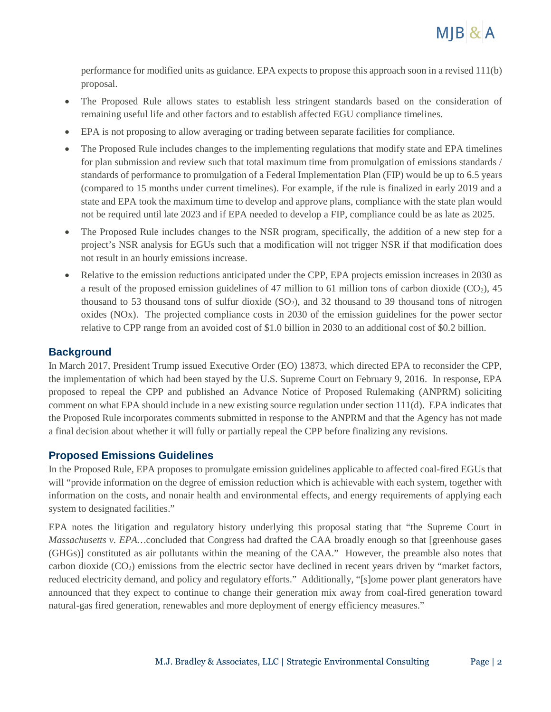

performance for modified units as guidance. EPA expects to propose this approach soon in a revised 111(b) proposal.

- The Proposed Rule allows states to establish less stringent standards based on the consideration of remaining useful life and other factors and to establish affected EGU compliance timelines.
- EPA is not proposing to allow averaging or trading between separate facilities for compliance.
- The Proposed Rule includes changes to the implementing regulations that modify state and EPA timelines for plan submission and review such that total maximum time from promulgation of emissions standards / standards of performance to promulgation of a Federal Implementation Plan (FIP) would be up to 6.5 years (compared to 15 months under current timelines). For example, if the rule is finalized in early 2019 and a state and EPA took the maximum time to develop and approve plans, compliance with the state plan would not be required until late 2023 and if EPA needed to develop a FIP, compliance could be as late as 2025.
- The Proposed Rule includes changes to the NSR program, specifically, the addition of a new step for a project's NSR analysis for EGUs such that a modification will not trigger NSR if that modification does not result in an hourly emissions increase.
- Relative to the emission reductions anticipated under the CPP, EPA projects emission increases in 2030 as a result of the proposed emission guidelines of 47 million to 61 million tons of carbon dioxide ( $CO<sub>2</sub>$ ), 45 thousand to 53 thousand tons of sulfur dioxide  $(SO<sub>2</sub>)$ , and 32 thousand to 39 thousand tons of nitrogen oxides (NOx). The projected compliance costs in 2030 of the emission guidelines for the power sector relative to CPP range from an avoided cost of \$1.0 billion in 2030 to an additional cost of \$0.2 billion.

# **Background**

In March 2017, President Trump issued Executive Order (EO) 13873, which directed EPA to reconsider the CPP, the implementation of which had been stayed by the U.S. Supreme Court on February 9, 2016. In response, EPA proposed to repeal the CPP and published an Advance Notice of Proposed Rulemaking (ANPRM) soliciting comment on what EPA should include in a new existing source regulation under section 111(d). EPA indicates that the Proposed Rule incorporates comments submitted in response to the ANPRM and that the Agency has not made a final decision about whether it will fully or partially repeal the CPP before finalizing any revisions.

## **Proposed Emissions Guidelines**

In the Proposed Rule, EPA proposes to promulgate emission guidelines applicable to affected coal-fired EGUs that will "provide information on the degree of emission reduction which is achievable with each system, together with information on the costs, and nonair health and environmental effects, and energy requirements of applying each system to designated facilities."

EPA notes the litigation and regulatory history underlying this proposal stating that "the Supreme Court in *Massachusetts v. EPA…*concluded that Congress had drafted the CAA broadly enough so that [greenhouse gases (GHGs)] constituted as air pollutants within the meaning of the CAA." However, the preamble also notes that carbon dioxide  $(CO<sub>2</sub>)$  emissions from the electric sector have declined in recent years driven by "market factors, reduced electricity demand, and policy and regulatory efforts." Additionally, "[s]ome power plant generators have announced that they expect to continue to change their generation mix away from coal-fired generation toward natural-gas fired generation, renewables and more deployment of energy efficiency measures."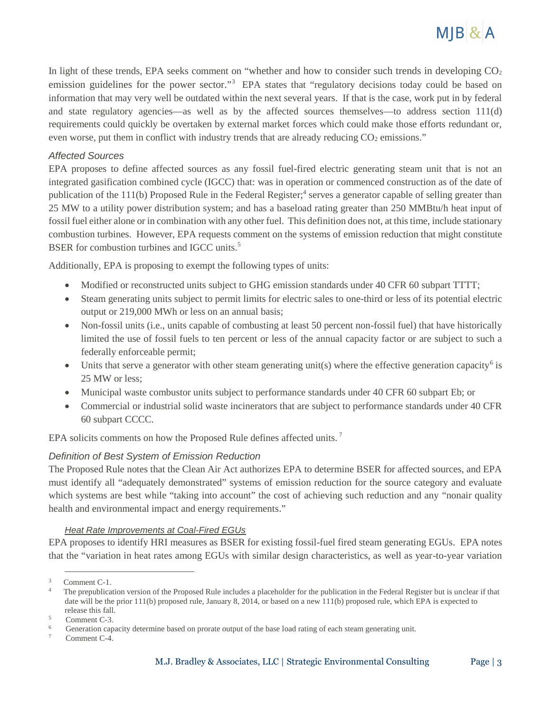

In light of these trends, EPA seeks comment on "whether and how to consider such trends in developing  $CO<sub>2</sub>$ emission guidelines for the power sector."<sup>3</sup> EPA states that "regulatory decisions today could be based on information that may very well be outdated within the next several years. If that is the case, work put in by federal and state regulatory agencies—as well as by the affected sources themselves—to address section 111(d) requirements could quickly be overtaken by external market forces which could make those efforts redundant or, even worse, put them in conflict with industry trends that are already reducing  $CO<sub>2</sub>$  emissions."

#### *Affected Sources*

EPA proposes to define affected sources as any fossil fuel-fired electric generating steam unit that is not an integrated gasification combined cycle (IGCC) that: was in operation or commenced construction as of the date of publication of the 111(b) Proposed Rule in the Federal Register; 4 serves a generator capable of selling greater than 25 MW to a utility power distribution system; and has a baseload rating greater than 250 MMBtu/h heat input of fossil fuel either alone or in combination with any other fuel. This definition does not, at this time, include stationary combustion turbines. However, EPA requests comment on the systems of emission reduction that might constitute BSER for combustion turbines and IGCC units.<sup>5</sup>

Additionally, EPA is proposing to exempt the following types of units:

- Modified or reconstructed units subject to GHG emission standards under 40 CFR 60 subpart TTTT;
- Steam generating units subject to permit limits for electric sales to one-third or less of its potential electric output or 219,000 MWh or less on an annual basis;
- Non-fossil units (i.e., units capable of combusting at least 50 percent non-fossil fuel) that have historically limited the use of fossil fuels to ten percent or less of the annual capacity factor or are subject to such a federally enforceable permit;
- Units that serve a generator with other steam generating unit(s) where the effective generation capacity<sup>6</sup> is 25 MW or less;
- Municipal waste combustor units subject to performance standards under 40 CFR 60 subpart Eb; or
- Commercial or industrial solid waste incinerators that are subject to performance standards under 40 CFR 60 subpart CCCC.

EPA solicits comments on how the Proposed Rule defines affected units.<sup>7</sup>

#### *Definition of Best System of Emission Reduction*

The Proposed Rule notes that the Clean Air Act authorizes EPA to determine BSER for affected sources, and EPA must identify all "adequately demonstrated" systems of emission reduction for the source category and evaluate which systems are best while "taking into account" the cost of achieving such reduction and any "nonair quality health and environmental impact and energy requirements."

#### *Heat Rate Improvements at Coal-Fired EGUs*

EPA proposes to identify HRI measures as BSER for existing fossil-fuel fired steam generating EGUs. EPA notes that the "variation in heat rates among EGUs with similar design characteristics, as well as year-to-year variation

<sup>3</sup> Comment C-1.

<sup>4</sup> The prepublication version of the Proposed Rule includes a placeholder for the publication in the Federal Register but is unclear if that date will be the prior 111(b) proposed rule, January 8, 2014, or based on a new 111(b) proposed rule, which EPA is expected to release this fall.

<sup>5</sup> Comment C-3.

<sup>6</sup> Generation capacity determine based on prorate output of the base load rating of each steam generating unit.

<sup>7</sup> Comment C-4.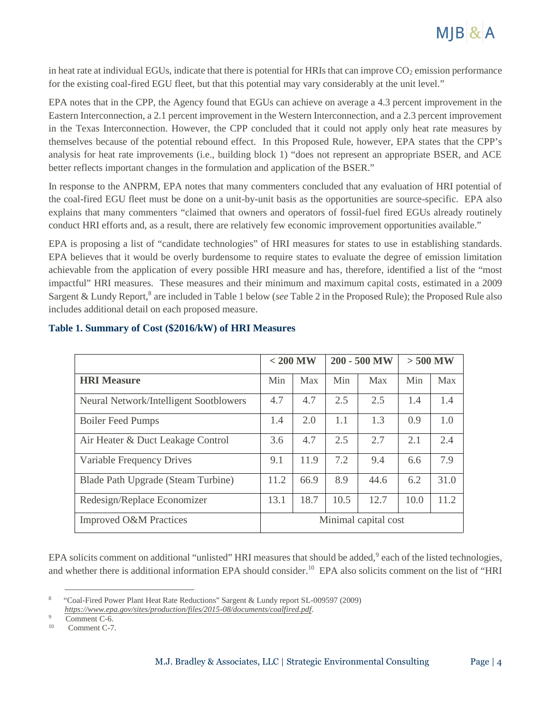

in heat rate at individual EGUs, indicate that there is potential for HRIs that can improve  $CO<sub>2</sub>$  emission performance for the existing coal-fired EGU fleet, but that this potential may vary considerably at the unit level."

EPA notes that in the CPP, the Agency found that EGUs can achieve on average a 4.3 percent improvement in the Eastern Interconnection, a 2.1 percent improvement in the Western Interconnection, and a 2.3 percent improvement in the Texas Interconnection. However, the CPP concluded that it could not apply only heat rate measures by themselves because of the potential rebound effect. In this Proposed Rule, however, EPA states that the CPP's analysis for heat rate improvements (i.e., building block 1) "does not represent an appropriate BSER, and ACE better reflects important changes in the formulation and application of the BSER."

In response to the ANPRM, EPA notes that many commenters concluded that any evaluation of HRI potential of the coal-fired EGU fleet must be done on a unit-by-unit basis as the opportunities are source-specific. EPA also explains that many commenters "claimed that owners and operators of fossil-fuel fired EGUs already routinely conduct HRI efforts and, as a result, there are relatively few economic improvement opportunities available."

EPA is proposing a list of "candidate technologies" of HRI measures for states to use in establishing standards. EPA believes that it would be overly burdensome to require states to evaluate the degree of emission limitation achievable from the application of every possible HRI measure and has, therefore, identified a list of the "most impactful" HRI measures. These measures and their minimum and maximum capital costs, estimated in a 2009 Sargent & Lundy Report,<sup>8</sup> are included in Table 1 below (see Table 2 in the Proposed Rule); the Proposed Rule also includes additional detail on each proposed measure.

|                                        | $< 200$ MW           |      | 200 - 500 MW |      | $>500$ MW |      |
|----------------------------------------|----------------------|------|--------------|------|-----------|------|
| <b>HRI</b> Measure                     | Min                  | Max  | Min          | Max  | Min       | Max  |
| Neural Network/Intelligent Sootblowers | 4.7                  | 4.7  | 2.5          | 2.5  | 1.4       | 1.4  |
| <b>Boiler Feed Pumps</b>               | 1.4                  | 2.0  | 1.1          | 1.3  | 0.9       | 1.0  |
| Air Heater & Duct Leakage Control      | 3.6                  | 4.7  | 2.5          | 2.7  | 2.1       | 2.4  |
| Variable Frequency Drives              | 9.1                  | 11.9 | 7.2          | 9.4  | 6.6       | 7.9  |
| Blade Path Upgrade (Steam Turbine)     | 11.2                 | 66.9 | 8.9          | 44.6 | 6.2       | 31.0 |
| Redesign/Replace Economizer            | 13.1                 | 18.7 | 10.5         | 12.7 | 10.0      | 11.2 |
| <b>Improved O&amp;M Practices</b>      | Minimal capital cost |      |              |      |           |      |

### **Table 1. Summary of Cost (\$2016/kW) of HRI Measures**

EPA solicits comment on additional "unlisted" HRI measures that should be added,<sup>9</sup> each of the listed technologies, and whether there is additional information EPA should consider.<sup>10</sup> EPA also solicits comment on the list of "HRI

<sup>8</sup> "Coal-Fired Power Plant Heat Rate Reductions" Sargent & Lundy report SL-009597 (2009) *<https://www.epa.gov/sites/production/files/2015-08/documents/coalfired.pdf>*.

<sup>9</sup> Comment C-6.

<sup>10</sup> Comment C-7.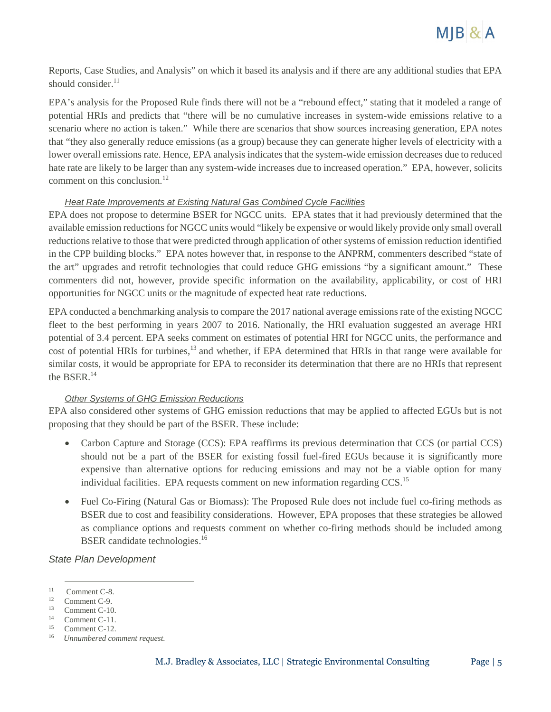

Reports, Case Studies, and Analysis" on which it based its analysis and if there are any additional studies that EPA should consider. $^{11}$ 

EPA's analysis for the Proposed Rule finds there will not be a "rebound effect," stating that it modeled a range of potential HRIs and predicts that "there will be no cumulative increases in system-wide emissions relative to a scenario where no action is taken." While there are scenarios that show sources increasing generation, EPA notes that "they also generally reduce emissions (as a group) because they can generate higher levels of electricity with a lower overall emissions rate. Hence, EPA analysis indicates that the system-wide emission decreases due to reduced hate rate are likely to be larger than any system-wide increases due to increased operation." EPA, however, solicits comment on this conclusion.<sup>12</sup>

#### *Heat Rate Improvements at Existing Natural Gas Combined Cycle Facilities*

EPA does not propose to determine BSER for NGCC units. EPA states that it had previously determined that the available emission reductions for NGCC units would "likely be expensive or would likely provide only small overall reductions relative to those that were predicted through application of other systems of emission reduction identified in the CPP building blocks." EPA notes however that, in response to the ANPRM, commenters described "state of the art" upgrades and retrofit technologies that could reduce GHG emissions "by a significant amount." These commenters did not, however, provide specific information on the availability, applicability, or cost of HRI opportunities for NGCC units or the magnitude of expected heat rate reductions.

EPA conducted a benchmarking analysis to compare the 2017 national average emissions rate of the existing NGCC fleet to the best performing in years 2007 to 2016. Nationally, the HRI evaluation suggested an average HRI potential of 3.4 percent. EPA seeks comment on estimates of potential HRI for NGCC units, the performance and cost of potential HRIs for turbines,<sup>13</sup> and whether, if EPA determined that HRIs in that range were available for similar costs, it would be appropriate for EPA to reconsider its determination that there are no HRIs that represent the BSER.<sup>14</sup>

#### *Other Systems of GHG Emission Reductions*

EPA also considered other systems of GHG emission reductions that may be applied to affected EGUs but is not proposing that they should be part of the BSER. These include:

- Carbon Capture and Storage (CCS): EPA reaffirms its previous determination that CCS (or partial CCS) should not be a part of the BSER for existing fossil fuel-fired EGUs because it is significantly more expensive than alternative options for reducing emissions and may not be a viable option for many individual facilities. EPA requests comment on new information regarding CCS.<sup>15</sup>
- Fuel Co-Firing (Natural Gas or Biomass): The Proposed Rule does not include fuel co-firing methods as BSER due to cost and feasibility considerations. However, EPA proposes that these strategies be allowed as compliance options and requests comment on whether co-firing methods should be included among BSER candidate technologies.<sup>16</sup>

*State Plan Development*

<sup>11</sup> Comment C-8.

<sup>12</sup> Comment C-9.

<sup>13</sup> Comment C-10.

<sup>14</sup> Comment C-11.

<sup>15</sup> Comment C-12.

<sup>16</sup> *Unnumbered comment request.*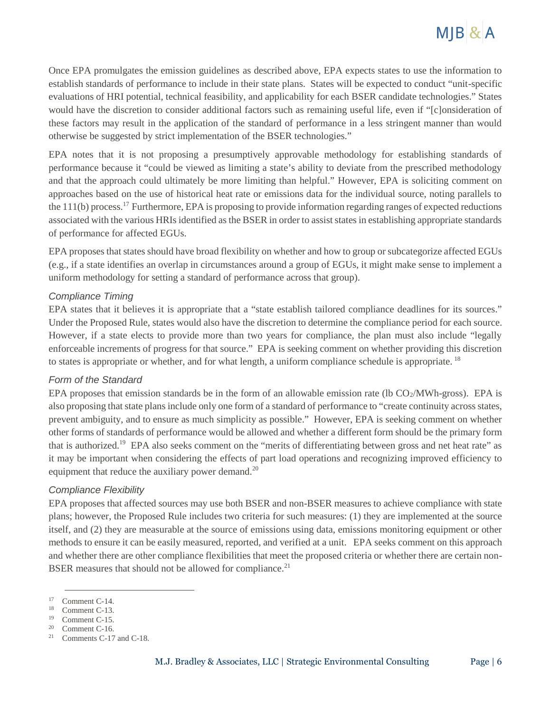

Once EPA promulgates the emission guidelines as described above, EPA expects states to use the information to establish standards of performance to include in their state plans. States will be expected to conduct "unit-specific evaluations of HRI potential, technical feasibility, and applicability for each BSER candidate technologies." States would have the discretion to consider additional factors such as remaining useful life, even if "[c]onsideration of these factors may result in the application of the standard of performance in a less stringent manner than would otherwise be suggested by strict implementation of the BSER technologies."

EPA notes that it is not proposing a presumptively approvable methodology for establishing standards of performance because it "could be viewed as limiting a state's ability to deviate from the prescribed methodology and that the approach could ultimately be more limiting than helpful." However, EPA is soliciting comment on approaches based on the use of historical heat rate or emissions data for the individual source, noting parallels to the 111(b) process.<sup>17</sup> Furthermore, EPA is proposing to provide information regarding ranges of expected reductions associated with the various HRIs identified as the BSER in order to assist states in establishing appropriate standards of performance for affected EGUs.

EPA proposes that states should have broad flexibility on whether and how to group or subcategorize affected EGUs (e.g., if a state identifies an overlap in circumstances around a group of EGUs, it might make sense to implement a uniform methodology for setting a standard of performance across that group).

#### *Compliance Timing*

EPA states that it believes it is appropriate that a "state establish tailored compliance deadlines for its sources." Under the Proposed Rule, states would also have the discretion to determine the compliance period for each source. However, if a state elects to provide more than two years for compliance, the plan must also include "legally enforceable increments of progress for that source." EPA is seeking comment on whether providing this discretion to states is appropriate or whether, and for what length, a uniform compliance schedule is appropriate.  $^{18}$ 

#### *Form of the Standard*

EPA proposes that emission standards be in the form of an allowable emission rate (lb  $CO<sub>2</sub>/MWh-gross$ ). EPA is also proposing that state plans include only one form of a standard of performance to "create continuity across states, prevent ambiguity, and to ensure as much simplicity as possible." However, EPA is seeking comment on whether other forms of standards of performance would be allowed and whether a different form should be the primary form that is authorized.<sup>19</sup> EPA also seeks comment on the "merits of differentiating between gross and net heat rate" as it may be important when considering the effects of part load operations and recognizing improved efficiency to equipment that reduce the auxiliary power demand.<sup>20</sup>

#### *Compliance Flexibility*

EPA proposes that affected sources may use both BSER and non-BSER measures to achieve compliance with state plans; however, the Proposed Rule includes two criteria for such measures: (1) they are implemented at the source itself, and (2) they are measurable at the source of emissions using data, emissions monitoring equipment or other methods to ensure it can be easily measured, reported, and verified at a unit. EPA seeks comment on this approach and whether there are other compliance flexibilities that meet the proposed criteria or whether there are certain non-BSER measures that should not be allowed for compliance.<sup>21</sup>

<sup>17</sup> Comment C-14.

<sup>18</sup> Comment C-13.

<sup>19</sup> Comment C-15.

<sup>&</sup>lt;sup>20</sup> Comment C-16.

<sup>21</sup> Comments C-17 and C-18.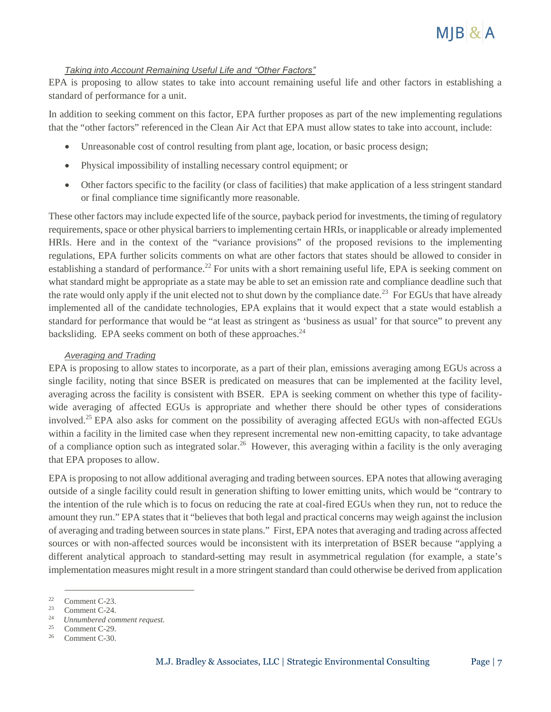

#### *Taking into Account Remaining Useful Life and "Other Factors"*

EPA is proposing to allow states to take into account remaining useful life and other factors in establishing a standard of performance for a unit.

In addition to seeking comment on this factor, EPA further proposes as part of the new implementing regulations that the "other factors" referenced in the Clean Air Act that EPA must allow states to take into account, include:

- Unreasonable cost of control resulting from plant age, location, or basic process design;
- Physical impossibility of installing necessary control equipment; or
- Other factors specific to the facility (or class of facilities) that make application of a less stringent standard or final compliance time significantly more reasonable.

These other factors may include expected life of the source, payback period for investments, the timing of regulatory requirements, space or other physical barriers to implementing certain HRIs, or inapplicable or already implemented HRIs. Here and in the context of the "variance provisions" of the proposed revisions to the implementing regulations, EPA further solicits comments on what are other factors that states should be allowed to consider in establishing a standard of performance.<sup>22</sup> For units with a short remaining useful life, EPA is seeking comment on what standard might be appropriate as a state may be able to set an emission rate and compliance deadline such that the rate would only apply if the unit elected not to shut down by the compliance date.<sup>23</sup> For EGUs that have already implemented all of the candidate technologies, EPA explains that it would expect that a state would establish a standard for performance that would be "at least as stringent as 'business as usual' for that source" to prevent any backsliding. EPA seeks comment on both of these approaches.<sup>24</sup>

#### *Averaging and Trading*

EPA is proposing to allow states to incorporate, as a part of their plan, emissions averaging among EGUs across a single facility, noting that since BSER is predicated on measures that can be implemented at the facility level, averaging across the facility is consistent with BSER. EPA is seeking comment on whether this type of facilitywide averaging of affected EGUs is appropriate and whether there should be other types of considerations involved.<sup>25</sup> EPA also asks for comment on the possibility of averaging affected EGUs with non-affected EGUs within a facility in the limited case when they represent incremental new non-emitting capacity, to take advantage of a compliance option such as integrated solar.<sup>26</sup> However, this averaging within a facility is the only averaging that EPA proposes to allow.

EPA is proposing to not allow additional averaging and trading between sources. EPA notes that allowing averaging outside of a single facility could result in generation shifting to lower emitting units, which would be "contrary to the intention of the rule which is to focus on reducing the rate at coal-fired EGUs when they run, not to reduce the amount they run." EPA states that it "believes that both legal and practical concerns may weigh against the inclusion of averaging and trading between sources in state plans." First, EPA notes that averaging and trading across affected sources or with non-affected sources would be inconsistent with its interpretation of BSER because "applying a different analytical approach to standard-setting may result in asymmetrical regulation (for example, a state's implementation measures might result in a more stringent standard than could otherwise be derived from application

<sup>22</sup> Comment C-23.

<sup>23</sup> Comment C-24.

 $24$ *Unnumbered comment request.*

<sup>25</sup> Comment C-29.

<sup>26</sup> Comment C-30.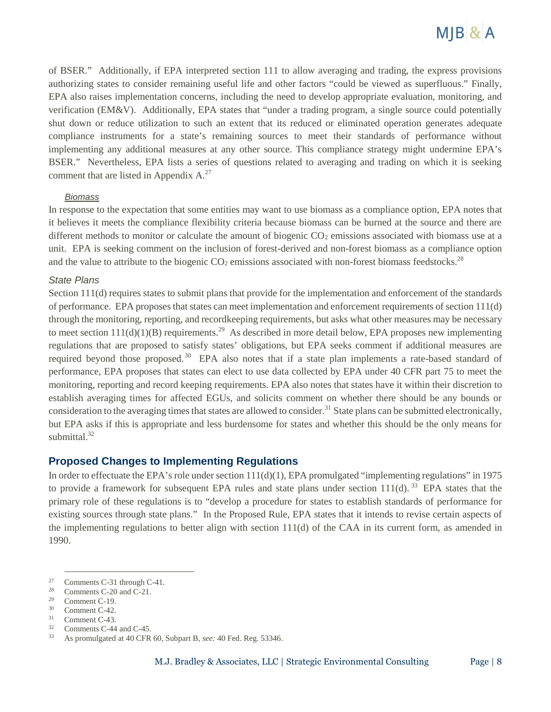

of BSER." Additionally, if EPA interpreted section 111 to allow averaging and trading, the express provisions authorizing states to consider remaining useful life and other factors "could be viewed as superfluous." Finally, EPA also raises implementation concerns, including the need to develop appropriate evaluation, monitoring, and verification (EM&V). Additionally, EPA states that "under a trading program, a single source could potentially shut down or reduce utilization to such an extent that its reduced or eliminated operation generates adequate compliance instruments for a state's remaining sources to meet their standards of performance without implementing any additional measures at any other source. This compliance strategy might undermine EPA's BSER." Nevertheless, EPA lists a series of questions related to averaging and trading on which it is seeking comment that are listed in Appendix  $A^{27}$ .

#### *Biomass*

In response to the expectation that some entities may want to use biomass as a compliance option, EPA notes that it believes it meets the compliance flexibility criteria because biomass can be burned at the source and there are different methods to monitor or calculate the amount of biogenic  $CO<sub>2</sub>$  emissions associated with biomass use at a unit. EPA is seeking comment on the inclusion of forest-derived and non-forest biomass as a compliance option and the value to attribute to the biogenic  $CO<sub>2</sub>$  emissions associated with non-forest biomass feedstocks.<sup>28</sup>

#### *State Plans*

Section 111(d) requires states to submit plans that provide for the implementation and enforcement of the standards of performance. EPA proposes that states can meet implementation and enforcement requirements of section 111(d) through the monitoring, reporting, and recordkeeping requirements, but asks what other measures may be necessary to meet section  $111(d)(1)(B)$  requirements.<sup>29</sup> As described in more detail below, EPA proposes new implementing regulations that are proposed to satisfy states' obligations, but EPA seeks comment if additional measures are required beyond those proposed.<sup>30</sup> EPA also notes that if a state plan implements a rate-based standard of performance, EPA proposes that states can elect to use data collected by EPA under 40 CFR part 75 to meet the monitoring, reporting and record keeping requirements. EPA also notes that states have it within their discretion to establish averaging times for affected EGUs, and solicits comment on whether there should be any bounds or consideration to the averaging times that states are allowed to consider.<sup>31</sup> State plans can be submitted electronically, but EPA asks if this is appropriate and less burdensome for states and whether this should be the only means for submittal. $32$ 

#### **Proposed Changes to Implementing Regulations**

In order to effectuate the EPA's role under section 111(d)(1), EPA promulgated "implementing regulations" in 1975 to provide a framework for subsequent EPA rules and state plans under section  $111(d)$ . <sup>33</sup> EPA states that the primary role of these regulations is to "develop a procedure for states to establish standards of performance for existing sources through state plans." In the Proposed Rule, EPA states that it intends to revise certain aspects of the implementing regulations to better align with section 111(d) of the CAA in its current form, as amended in 1990.

28 Comments C-20 and C-21.

<sup>27</sup> Comments C-31 through C-41.

<sup>29</sup> Comment C-19.

<sup>30</sup> Comment C-42.

<sup>31</sup> Comment C-43.

<sup>32</sup> Comments C-44 and C-45.

<sup>33</sup> As promulgated at 40 CFR 60, Subpart B, *see:* 40 Fed. Reg. 53346.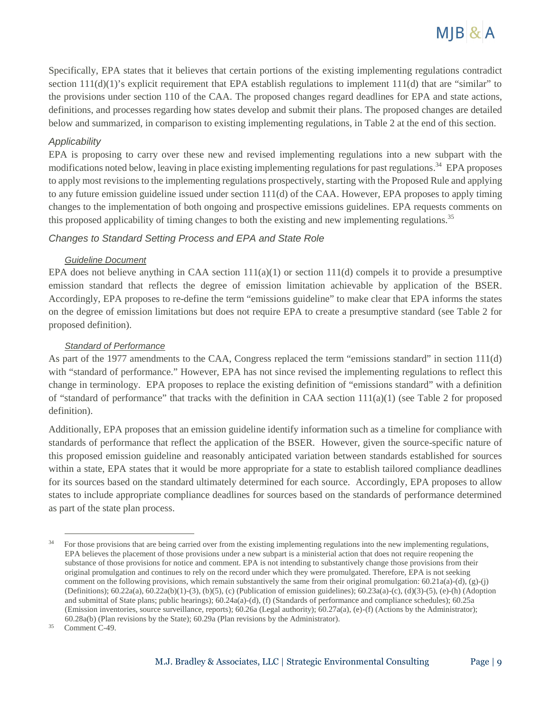

Specifically, EPA states that it believes that certain portions of the existing implementing regulations contradict section 111(d)(1)'s explicit requirement that EPA establish regulations to implement 111(d) that are "similar" to the provisions under section 110 of the CAA. The proposed changes regard deadlines for EPA and state actions, definitions, and processes regarding how states develop and submit their plans. The proposed changes are detailed below and summarized, in comparison to existing implementing regulations, in Table 2 at the end of this section.

#### *Applicability*

EPA is proposing to carry over these new and revised implementing regulations into a new subpart with the modifications noted below, leaving in place existing implementing regulations for past regulations. <sup>34</sup> EPA proposes to apply most revisions to the implementing regulations prospectively, starting with the Proposed Rule and applying to any future emission guideline issued under section 111(d) of the CAA. However, EPA proposes to apply timing changes to the implementation of both ongoing and prospective emissions guidelines. EPA requests comments on this proposed applicability of timing changes to both the existing and new implementing regulations.<sup>35</sup>

#### *Changes to Standard Setting Process and EPA and State Role*

#### *Guideline Document*

EPA does not believe anything in CAA section  $111(a)(1)$  or section  $111(d)$  compels it to provide a presumptive emission standard that reflects the degree of emission limitation achievable by application of the BSER. Accordingly, EPA proposes to re-define the term "emissions guideline" to make clear that EPA informs the states on the degree of emission limitations but does not require EPA to create a presumptive standard (see Table 2 for proposed definition).

#### *Standard of Performance*

As part of the 1977 amendments to the CAA, Congress replaced the term "emissions standard" in section 111(d) with "standard of performance." However, EPA has not since revised the implementing regulations to reflect this change in terminology. EPA proposes to replace the existing definition of "emissions standard" with a definition of "standard of performance" that tracks with the definition in CAA section  $111(a)(1)$  (see Table 2 for proposed definition).

Additionally, EPA proposes that an emission guideline identify information such as a timeline for compliance with standards of performance that reflect the application of the BSER. However, given the source-specific nature of this proposed emission guideline and reasonably anticipated variation between standards established for sources within a state, EPA states that it would be more appropriate for a state to establish tailored compliance deadlines for its sources based on the standard ultimately determined for each source. Accordingly, EPA proposes to allow states to include appropriate compliance deadlines for sources based on the standards of performance determined as part of the state plan process.

<sup>34</sup> For those provisions that are being carried over from the existing implementing regulations into the new implementing regulations, EPA believes the placement of those provisions under a new subpart is a ministerial action that does not require reopening the substance of those provisions for notice and comment. EPA is not intending to substantively change those provisions from their original promulgation and continues to rely on the record under which they were promulgated. Therefore, EPA is not seeking comment on the following provisions, which remain substantively the same from their original promulgation:  $60.21a(a)-(d)$ ,  $(g)-(j)$ (Definitions); 60.22a(a), 60.22a(b)(1)-(3), (b)(5), (c) (Publication of emission guidelines); 60.23a(a)-(c), (d)(3)-(5), (e)-(h) (Adoption and submittal of State plans; public hearings); 60.24a(a)-(d), (f) (Standards of performance and compliance schedules); 60.25a (Emission inventories, source surveillance, reports); 60.26a (Legal authority); 60.27a(a), (e)-(f) (Actions by the Administrator); 60.28a(b) (Plan revisions by the State); 60.29a (Plan revisions by the Administrator).

<sup>35</sup> Comment C-49.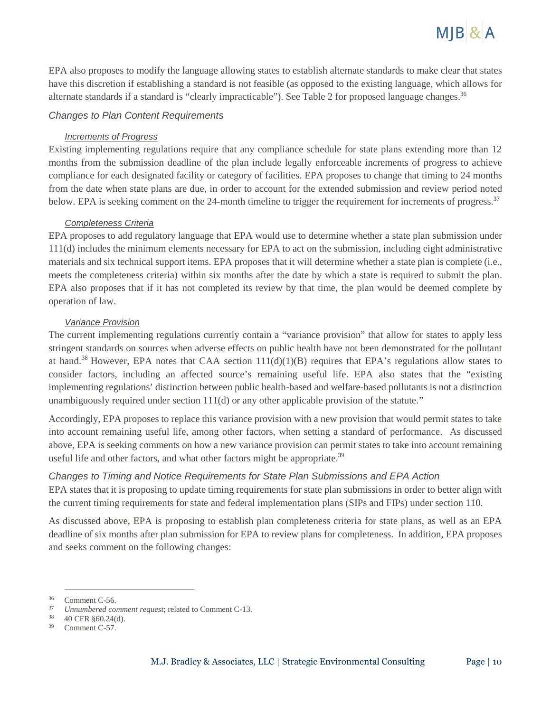

EPA also proposes to modify the language allowing states to establish alternate standards to make clear that states have this discretion if establishing a standard is not feasible (as opposed to the existing language, which allows for alternate standards if a standard is "clearly impracticable"). See Table 2 for proposed language changes.<sup>36</sup>

#### *Changes to Plan Content Requirements*

#### *Increments of Progress*

Existing implementing regulations require that any compliance schedule for state plans extending more than 12 months from the submission deadline of the plan include legally enforceable increments of progress to achieve compliance for each designated facility or category of facilities. EPA proposes to change that timing to 24 months from the date when state plans are due, in order to account for the extended submission and review period noted below. EPA is seeking comment on the 24-month timeline to trigger the requirement for increments of progress.<sup>37</sup>

#### *Completeness Criteria*

EPA proposes to add regulatory language that EPA would use to determine whether a state plan submission under 111(d) includes the minimum elements necessary for EPA to act on the submission, including eight administrative materials and six technical support items. EPA proposes that it will determine whether a state plan is complete (i.e., meets the completeness criteria) within six months after the date by which a state is required to submit the plan. EPA also proposes that if it has not completed its review by that time, the plan would be deemed complete by operation of law.

#### *Variance Provision*

The current implementing regulations currently contain a "variance provision" that allow for states to apply less stringent standards on sources when adverse effects on public health have not been demonstrated for the pollutant at hand.<sup>38</sup> However, EPA notes that CAA section  $111(d)(1)(B)$  requires that EPA's regulations allow states to consider factors, including an affected source's remaining useful life. EPA also states that the "existing implementing regulations' distinction between public health-based and welfare-based pollutants is not a distinction unambiguously required under section 111(d) or any other applicable provision of the statute."

Accordingly, EPA proposes to replace this variance provision with a new provision that would permit states to take into account remaining useful life, among other factors, when setting a standard of performance. As discussed above, EPA is seeking comments on how a new variance provision can permit states to take into account remaining useful life and other factors, and what other factors might be appropriate.<sup>39</sup>

#### *Changes to Timing and Notice Requirements for State Plan Submissions and EPA Action*

EPA states that it is proposing to update timing requirements for state plan submissions in order to better align with the current timing requirements for state and federal implementation plans (SIPs and FIPs) under section 110.

As discussed above, EPA is proposing to establish plan completeness criteria for state plans, as well as an EPA deadline of six months after plan submission for EPA to review plans for completeness. In addition, EPA proposes and seeks comment on the following changes:

<sup>36</sup> Comment C-56.

<sup>37</sup> *Unnumbered comment request*; related to Comment C-13.

<sup>38</sup> 40 CFR §60.24(d).

<sup>39</sup> Comment C-57.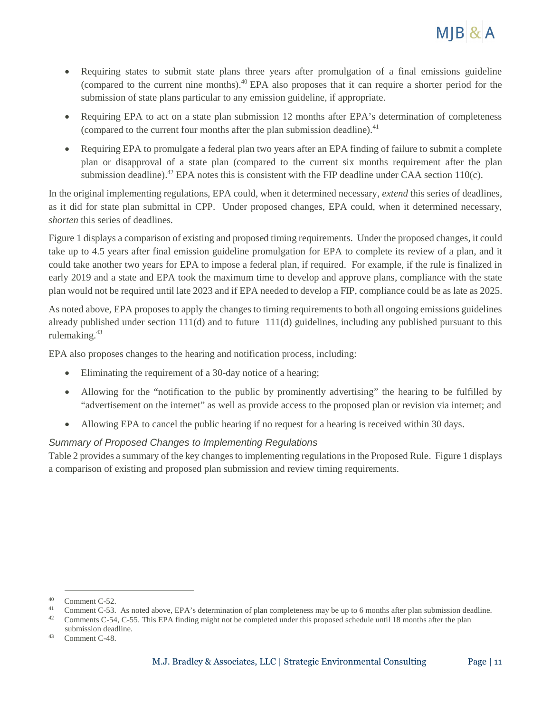

- Requiring states to submit state plans three years after promulgation of a final emissions guideline (compared to the current nine months).<sup>40</sup> EPA also proposes that it can require a shorter period for the submission of state plans particular to any emission guideline, if appropriate.
- Requiring EPA to act on a state plan submission 12 months after EPA's determination of completeness (compared to the current four months after the plan submission deadline). $41$
- Requiring EPA to promulgate a federal plan two years after an EPA finding of failure to submit a complete plan or disapproval of a state plan (compared to the current six months requirement after the plan submission deadline).<sup>42</sup> EPA notes this is consistent with the FIP deadline under CAA section  $110(c)$ .

In the original implementing regulations, EPA could, when it determined necessary, *extend* this series of deadlines, as it did for state plan submittal in CPP. Under proposed changes, EPA could, when it determined necessary, *shorten* this series of deadlines*.*

Figure 1 displays a comparison of existing and proposed timing requirements. Under the proposed changes, it could take up to 4.5 years after final emission guideline promulgation for EPA to complete its review of a plan, and it could take another two years for EPA to impose a federal plan, if required. For example, if the rule is finalized in early 2019 and a state and EPA took the maximum time to develop and approve plans, compliance with the state plan would not be required until late 2023 and if EPA needed to develop a FIP, compliance could be as late as 2025.

As noted above, EPA proposes to apply the changes to timing requirements to both all ongoing emissions guidelines already published under section 111(d) and to future 111(d) guidelines, including any published pursuant to this rulemaking.<sup>43</sup>

EPA also proposes changes to the hearing and notification process, including:

- Eliminating the requirement of a 30-day notice of a hearing;
- Allowing for the "notification to the public by prominently advertising" the hearing to be fulfilled by "advertisement on the internet" as well as provide access to the proposed plan or revision via internet; and
- Allowing EPA to cancel the public hearing if no request for a hearing is received within 30 days.

## *Summary of Proposed Changes to Implementing Regulations*

Table 2 provides a summary of the key changes to implementing regulations in the Proposed Rule. Figure 1 displays a comparison of existing and proposed plan submission and review timing requirements.

<sup>40</sup> Comment C-52.

<sup>41</sup> Comment C-53. As noted above, EPA's determination of plan completeness may be up to 6 months after plan submission deadline.

<sup>42</sup> Comments C-54, C-55. This EPA finding might not be completed under this proposed schedule until 18 months after the plan submission deadline.

<sup>43</sup> Comment C-48.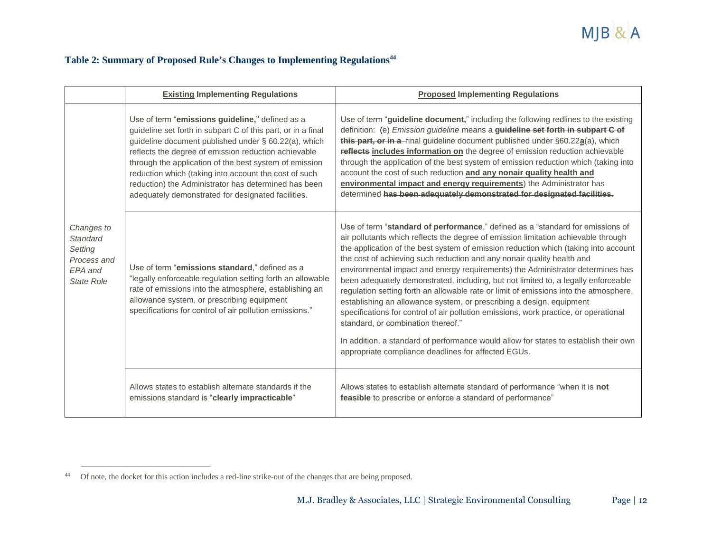# MJB & A

# **Table 2: Summary of Proposed Rule's Changes to Implementing Regulations<sup>44</sup>**

|                                                                                  | <b>Existing Implementing Regulations</b>                                                                                                                                                                                                                                                                                                                                                                                                                         | <b>Proposed Implementing Regulations</b>                                                                                                                                                                                                                                                                                                                                                                                                                                                                                                                                                                                                                                                                                                                                                                                                                                                                                                                    |
|----------------------------------------------------------------------------------|------------------------------------------------------------------------------------------------------------------------------------------------------------------------------------------------------------------------------------------------------------------------------------------------------------------------------------------------------------------------------------------------------------------------------------------------------------------|-------------------------------------------------------------------------------------------------------------------------------------------------------------------------------------------------------------------------------------------------------------------------------------------------------------------------------------------------------------------------------------------------------------------------------------------------------------------------------------------------------------------------------------------------------------------------------------------------------------------------------------------------------------------------------------------------------------------------------------------------------------------------------------------------------------------------------------------------------------------------------------------------------------------------------------------------------------|
|                                                                                  | Use of term "emissions guideline," defined as a<br>guideline set forth in subpart C of this part, or in a final<br>guideline document published under § 60.22(a), which<br>reflects the degree of emission reduction achievable<br>through the application of the best system of emission<br>reduction which (taking into account the cost of such<br>reduction) the Administrator has determined has been<br>adequately demonstrated for designated facilities. | Use of term "guideline document," including the following redlines to the existing<br>definition: (e) <i>Emission guideline</i> means a <i>guideline set forth in subpart C of</i><br>this part, or in a final guideline document published under §60.22a(a), which<br>reflects includes information on the degree of emission reduction achievable<br>through the application of the best system of emission reduction which (taking into<br>account the cost of such reduction and any nonair quality health and<br>environmental impact and energy requirements) the Administrator has<br>determined has been adequately demonstrated for designated facilities.                                                                                                                                                                                                                                                                                         |
| Changes to<br>Standard<br>Setting<br>Process and<br>EPA and<br><b>State Role</b> | Use of term "emissions standard," defined as a<br>"legally enforceable regulation setting forth an allowable<br>rate of emissions into the atmosphere, establishing an<br>allowance system, or prescribing equipment<br>specifications for control of air pollution emissions."                                                                                                                                                                                  | Use of term "standard of performance," defined as a "standard for emissions of<br>air pollutants which reflects the degree of emission limitation achievable through<br>the application of the best system of emission reduction which (taking into account<br>the cost of achieving such reduction and any nonair quality health and<br>environmental impact and energy requirements) the Administrator determines has<br>been adequately demonstrated, including, but not limited to, a legally enforceable<br>regulation setting forth an allowable rate or limit of emissions into the atmosphere,<br>establishing an allowance system, or prescribing a design, equipment<br>specifications for control of air pollution emissions, work practice, or operational<br>standard, or combination thereof."<br>In addition, a standard of performance would allow for states to establish their own<br>appropriate compliance deadlines for affected EGUs. |
|                                                                                  | Allows states to establish alternate standards if the<br>emissions standard is "clearly impracticable"                                                                                                                                                                                                                                                                                                                                                           | Allows states to establish alternate standard of performance "when it is not<br>feasible to prescribe or enforce a standard of performance"                                                                                                                                                                                                                                                                                                                                                                                                                                                                                                                                                                                                                                                                                                                                                                                                                 |

<sup>44</sup> Of note, the docket for this action includes a red-line strike-out of the changes that are being proposed.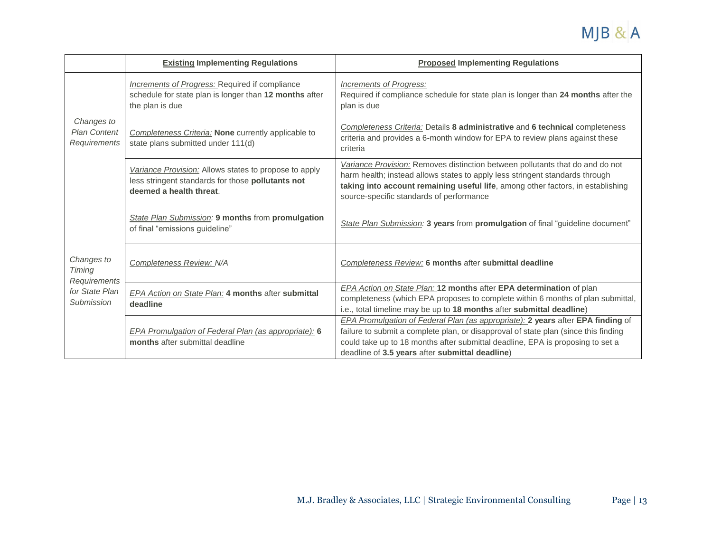

|                                                                      | <b>Existing Implementing Regulations</b>                                                                                              | <b>Proposed Implementing Regulations</b>                                                                                                                                                                                                                                                                           |
|----------------------------------------------------------------------|---------------------------------------------------------------------------------------------------------------------------------------|--------------------------------------------------------------------------------------------------------------------------------------------------------------------------------------------------------------------------------------------------------------------------------------------------------------------|
| Changes to<br><b>Plan Content</b><br>Requirements                    | <b>Increments of Progress: Required if compliance</b><br>schedule for state plan is longer than 12 months after<br>the plan is due    | Increments of Progress:<br>Required if compliance schedule for state plan is longer than 24 months after the<br>plan is due                                                                                                                                                                                        |
|                                                                      | Completeness Criteria: None currently applicable to<br>state plans submitted under 111(d)                                             | Completeness Criteria: Details 8 administrative and 6 technical completeness<br>criteria and provides a 6-month window for EPA to review plans against these<br>criteria                                                                                                                                           |
|                                                                      | Variance Provision: Allows states to propose to apply<br>less stringent standards for those pollutants not<br>deemed a health threat. | Variance Provision: Removes distinction between pollutants that do and do not<br>harm health; instead allows states to apply less stringent standards through<br>taking into account remaining useful life, among other factors, in establishing<br>source-specific standards of performance                       |
| Changes to<br>Timing<br>Requirements<br>for State Plan<br>Submission | State Plan Submission: 9 months from promulgation<br>of final "emissions guideline"                                                   | State Plan Submission: 3 years from promulgation of final "guideline document"                                                                                                                                                                                                                                     |
|                                                                      | Completeness Review: N/A                                                                                                              | Completeness Review: 6 months after submittal deadline                                                                                                                                                                                                                                                             |
|                                                                      | <b>EPA Action on State Plan: 4 months after submittal</b><br>deadline                                                                 | EPA Action on State Plan: 12 months after EPA determination of plan<br>completeness (which EPA proposes to complete within 6 months of plan submittal,<br>i.e., total timeline may be up to 18 months after submittal deadline)                                                                                    |
|                                                                      | EPA Promulgation of Federal Plan (as appropriate): 6<br>months after submittal deadline                                               | <b>EPA Promulgation of Federal Plan (as appropriate): 2 years after EPA finding of</b><br>failure to submit a complete plan, or disapproval of state plan (since this finding<br>could take up to 18 months after submittal deadline, EPA is proposing to set a<br>deadline of 3.5 years after submittal deadline) |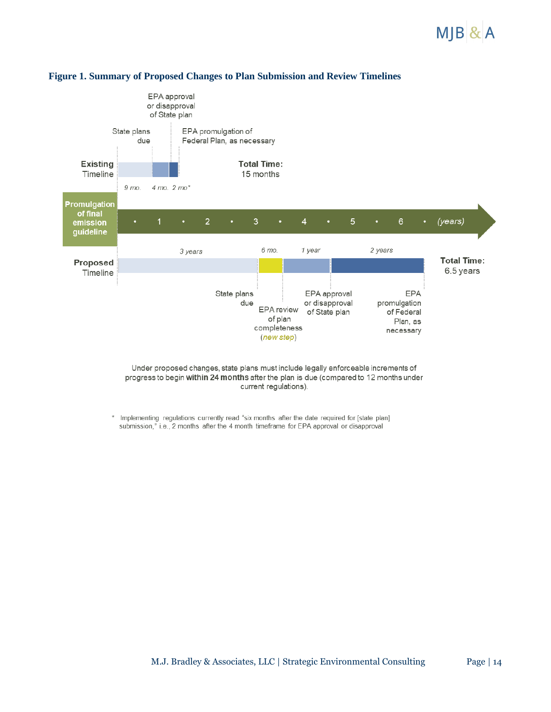# $M$ JB $8$ A



# **Figure 1. Summary of Proposed Changes to Plan Submission and Review Timelines**

Under proposed changes, state plans must include legally enforceable increments of progress to begin within 24 months after the plan is due (compared to 12 months under current regulations).

 $\pmb{\ast}$ Implementing regulations currently read "six months after the date required for [state plan] submission," i.e., 2 months after the 4 month timeframe for EPA approval or disapproval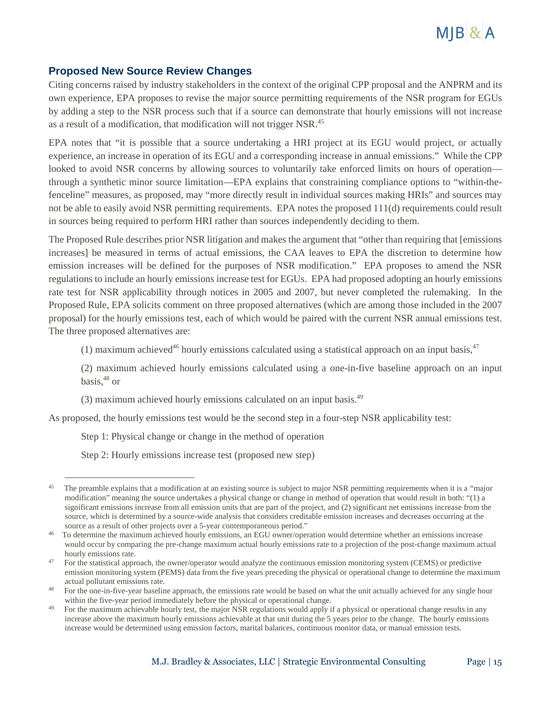

# **Proposed New Source Review Changes**

Citing concerns raised by industry stakeholders in the context of the original CPP proposal and the ANPRM and its own experience, EPA proposes to revise the major source permitting requirements of the NSR program for EGUs by adding a step to the NSR process such that if a source can demonstrate that hourly emissions will not increase as a result of a modification, that modification will not trigger NSR.<sup>45</sup>

EPA notes that "it is possible that a source undertaking a HRI project at its EGU would project, or actually experience, an increase in operation of its EGU and a corresponding increase in annual emissions." While the CPP looked to avoid NSR concerns by allowing sources to voluntarily take enforced limits on hours of operation through a synthetic minor source limitation—EPA explains that constraining compliance options to "within-thefenceline" measures, as proposed, may "more directly result in individual sources making HRIs" and sources may not be able to easily avoid NSR permitting requirements. EPA notes the proposed 111(d) requirements could result in sources being required to perform HRI rather than sources independently deciding to them.

The Proposed Rule describes prior NSR litigation and makes the argument that "other than requiring that [emissions increases] be measured in terms of actual emissions, the CAA leaves to EPA the discretion to determine how emission increases will be defined for the purposes of NSR modification." EPA proposes to amend the NSR regulations to include an hourly emissions increase test for EGUs. EPA had proposed adopting an hourly emissions rate test for NSR applicability through notices in 2005 and 2007, but never completed the rulemaking. In the Proposed Rule, EPA solicits comment on three proposed alternatives (which are among those included in the 2007 proposal) for the hourly emissions test, each of which would be paired with the current NSR annual emissions test. The three proposed alternatives are:

(1) maximum achieved<sup>46</sup> hourly emissions calculated using a statistical approach on an input basis,  $47$ 

(2) maximum achieved hourly emissions calculated using a one-in-five baseline approach on an input basis, $48$  or

(3) maximum achieved hourly emissions calculated on an input basis.<sup>49</sup>

As proposed, the hourly emissions test would be the second step in a four-step NSR applicability test:

Step 1: Physical change or change in the method of operation

Step 2: Hourly emissions increase test (proposed new step)

<sup>45</sup> The preamble explains that a modification at an existing source is subject to major NSR permitting requirements when it is a "major modification" meaning the source undertakes a physical change or change in method of operation that would result in both: "(1) a significant emissions increase from all emission units that are part of the project, and (2) significant net emissions increase from the source, which is determined by a source-wide analysis that considers creditable emission increases and decreases occurring at the source as a result of other projects over a 5-year contemporaneous period."

<sup>46</sup> To determine the maximum achieved hourly emissions, an EGU owner/operation would determine whether an emissions increase would occur by comparing the pre-change maximum actual hourly emissions rate to a projection of the post-change maximum actual hourly emissions rate.

<sup>47</sup> For the statistical approach, the owner/operator would analyze the continuous emission monitoring system (CEMS) or predictive emission monitoring system (PEMS) data from the five years preceding the physical or operational change to determine the maximum actual pollutant emissions rate.

<sup>48</sup> For the one-in-five-year baseline approach, the emissions rate would be based on what the unit actually achieved for any single hour within the five-year period immediately before the physical or operational change.

<sup>49</sup> For the maximum achievable hourly test, the major NSR regulations would apply if a physical or operational change results in any increase above the maximum hourly emissions achievable at that unit during the 5 years prior to the change. The hourly emissions increase would be determined using emission factors, marital balances, continuous monitor data, or manual emission tests.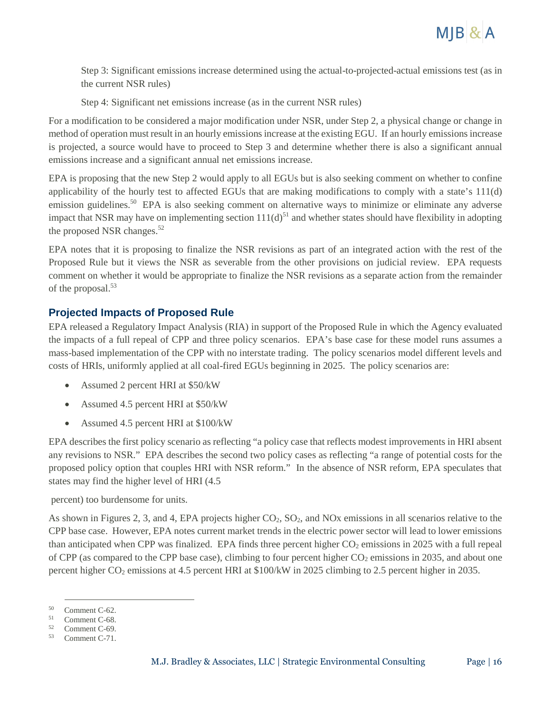

Step 3: Significant emissions increase determined using the actual-to-projected-actual emissions test (as in the current NSR rules)

Step 4: Significant net emissions increase (as in the current NSR rules)

For a modification to be considered a major modification under NSR, under Step 2, a physical change or change in method of operation must result in an hourly emissions increase at the existing EGU. If an hourly emissions increase is projected, a source would have to proceed to Step 3 and determine whether there is also a significant annual emissions increase and a significant annual net emissions increase.

EPA is proposing that the new Step 2 would apply to all EGUs but is also seeking comment on whether to confine applicability of the hourly test to affected EGUs that are making modifications to comply with a state's 111(d) emission guidelines.<sup>50</sup> EPA is also seeking comment on alternative ways to minimize or eliminate any adverse impact that NSR may have on implementing section  $111(d)^{51}$  and whether states should have flexibility in adopting the proposed NSR changes.<sup>52</sup>

EPA notes that it is proposing to finalize the NSR revisions as part of an integrated action with the rest of the Proposed Rule but it views the NSR as severable from the other provisions on judicial review. EPA requests comment on whether it would be appropriate to finalize the NSR revisions as a separate action from the remainder of the proposal.<sup>53</sup>

# **Projected Impacts of Proposed Rule**

EPA released a Regulatory Impact Analysis (RIA) in support of the Proposed Rule in which the Agency evaluated the impacts of a full repeal of CPP and three policy scenarios. EPA's base case for these model runs assumes a mass-based implementation of the CPP with no interstate trading. The policy scenarios model different levels and costs of HRIs, uniformly applied at all coal-fired EGUs beginning in 2025. The policy scenarios are:

- Assumed 2 percent HRI at \$50/kW
- Assumed 4.5 percent HRI at \$50/kW
- Assumed 4.5 percent HRI at \$100/kW

EPA describes the first policy scenario as reflecting "a policy case that reflects modest improvements in HRI absent any revisions to NSR." EPA describes the second two policy cases as reflecting "a range of potential costs for the proposed policy option that couples HRI with NSR reform." In the absence of NSR reform, EPA speculates that states may find the higher level of HRI (4.5

percent) too burdensome for units.

As shown in Figures 2, 3, and 4, EPA projects higher  $CO<sub>2</sub>$ ,  $SO<sub>2</sub>$ , and NOx emissions in all scenarios relative to the CPP base case. However, EPA notes current market trends in the electric power sector will lead to lower emissions than anticipated when CPP was finalized. EPA finds three percent higher  $CO<sub>2</sub>$  emissions in 2025 with a full repeal of CPP (as compared to the CPP base case), climbing to four percent higher  $CO<sub>2</sub>$  emissions in 2035, and about one percent higher CO<sup>2</sup> emissions at 4.5 percent HRI at \$100/kW in 2025 climbing to 2.5 percent higher in 2035.

<sup>50</sup> Comment C-62.

<sup>51</sup> Comment C-68. 52

Comment C-69.

<sup>53</sup> Comment C-71.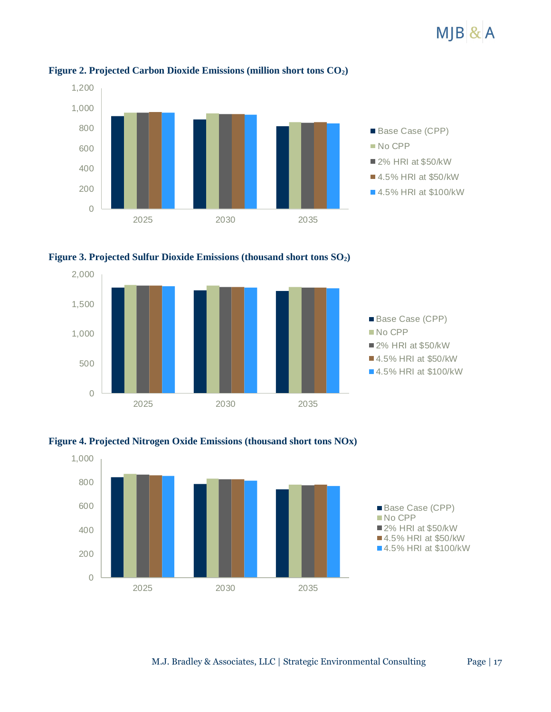# $M$ JB $\&$ A



#### **Figure 2. Projected Carbon Dioxide Emissions (million short tons CO2)**







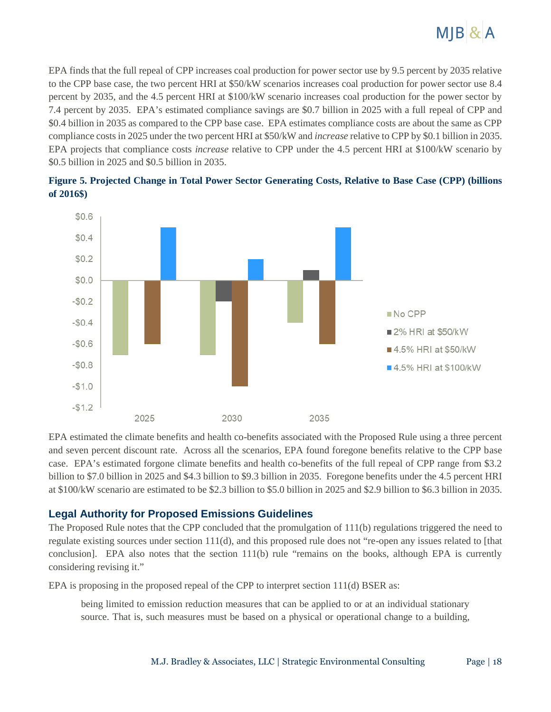

EPA finds that the full repeal of CPP increases coal production for power sector use by 9.5 percent by 2035 relative to the CPP base case, the two percent HRI at \$50/kW scenarios increases coal production for power sector use 8.4 percent by 2035, and the 4.5 percent HRI at \$100/kW scenario increases coal production for the power sector by 7.4 percent by 2035. EPA's estimated compliance savings are \$0.7 billion in 2025 with a full repeal of CPP and \$0.4 billion in 2035 as compared to the CPP base case. EPA estimates compliance costs are about the same as CPP compliance costs in 2025 under the two percent HRI at \$50/kW and *increase* relative to CPP by \$0.1 billion in 2035. EPA projects that compliance costs *increase* relative to CPP under the 4.5 percent HRI at \$100/kW scenario by \$0.5 billion in 2025 and \$0.5 billion in 2035.



**Figure 5. Projected Change in Total Power Sector Generating Costs, Relative to Base Case (CPP) (billions of 2016\$)**

EPA estimated the climate benefits and health co-benefits associated with the Proposed Rule using a three percent and seven percent discount rate. Across all the scenarios, EPA found foregone benefits relative to the CPP base case. EPA's estimated forgone climate benefits and health co-benefits of the full repeal of CPP range from \$3.2 billion to \$7.0 billion in 2025 and \$4.3 billion to \$9.3 billion in 2035. Foregone benefits under the 4.5 percent HRI at \$100/kW scenario are estimated to be \$2.3 billion to \$5.0 billion in 2025 and \$2.9 billion to \$6.3 billion in 2035.

#### **Legal Authority for Proposed Emissions Guidelines**

The Proposed Rule notes that the CPP concluded that the promulgation of 111(b) regulations triggered the need to regulate existing sources under section 111(d), and this proposed rule does not "re-open any issues related to [that conclusion]. EPA also notes that the section 111(b) rule "remains on the books, although EPA is currently considering revising it."

EPA is proposing in the proposed repeal of the CPP to interpret section 111(d) BSER as:

being limited to emission reduction measures that can be applied to or at an individual stationary source. That is, such measures must be based on a physical or operational change to a building,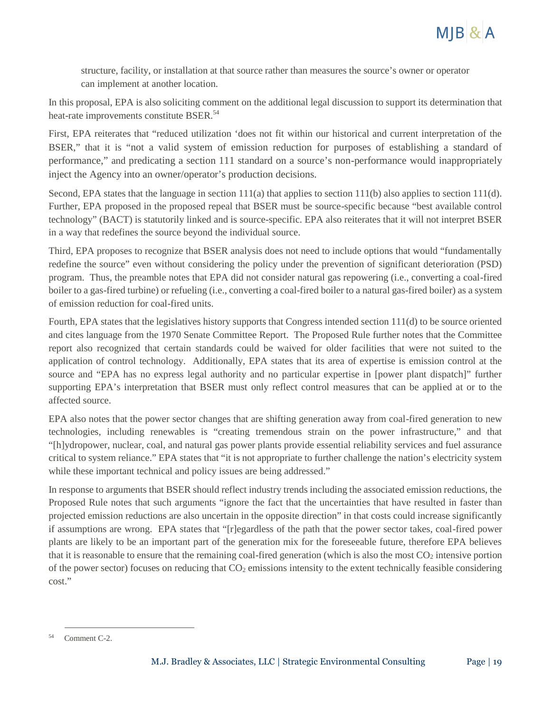

structure, facility, or installation at that source rather than measures the source's owner or operator can implement at another location.

In this proposal, EPA is also soliciting comment on the additional legal discussion to support its determination that heat-rate improvements constitute BSER.<sup>54</sup>

First, EPA reiterates that "reduced utilization 'does not fit within our historical and current interpretation of the BSER," that it is "not a valid system of emission reduction for purposes of establishing a standard of performance," and predicating a section 111 standard on a source's non-performance would inappropriately inject the Agency into an owner/operator's production decisions.

Second, EPA states that the language in section 111(a) that applies to section 111(b) also applies to section 111(d). Further, EPA proposed in the proposed repeal that BSER must be source-specific because "best available control technology" (BACT) is statutorily linked and is source-specific. EPA also reiterates that it will not interpret BSER in a way that redefines the source beyond the individual source.

Third, EPA proposes to recognize that BSER analysis does not need to include options that would "fundamentally redefine the source" even without considering the policy under the prevention of significant deterioration (PSD) program. Thus, the preamble notes that EPA did not consider natural gas repowering (i.e., converting a coal-fired boiler to a gas-fired turbine) or refueling (i.e., converting a coal-fired boiler to a natural gas-fired boiler) as a system of emission reduction for coal-fired units.

Fourth, EPA states that the legislatives history supports that Congress intended section 111(d) to be source oriented and cites language from the 1970 Senate Committee Report. The Proposed Rule further notes that the Committee report also recognized that certain standards could be waived for older facilities that were not suited to the application of control technology. Additionally, EPA states that its area of expertise is emission control at the source and "EPA has no express legal authority and no particular expertise in [power plant dispatch]" further supporting EPA's interpretation that BSER must only reflect control measures that can be applied at or to the affected source.

EPA also notes that the power sector changes that are shifting generation away from coal-fired generation to new technologies, including renewables is "creating tremendous strain on the power infrastructure," and that "[h]ydropower, nuclear, coal, and natural gas power plants provide essential reliability services and fuel assurance critical to system reliance." EPA states that "it is not appropriate to further challenge the nation's electricity system while these important technical and policy issues are being addressed."

In response to arguments that BSER should reflect industry trends including the associated emission reductions, the Proposed Rule notes that such arguments "ignore the fact that the uncertainties that have resulted in faster than projected emission reductions are also uncertain in the opposite direction" in that costs could increase significantly if assumptions are wrong. EPA states that "[r]egardless of the path that the power sector takes, coal-fired power plants are likely to be an important part of the generation mix for the foreseeable future, therefore EPA believes that it is reasonable to ensure that the remaining coal-fired generation (which is also the most  $CO<sub>2</sub>$  intensive portion of the power sector) focuses on reducing that  $CO<sub>2</sub>$  emissions intensity to the extent technically feasible considering cost."

<sup>54</sup> Comment C-2.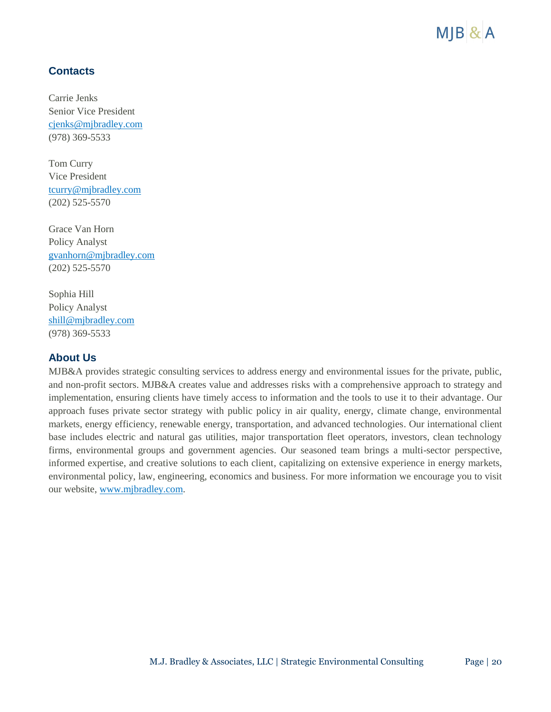

# **Contacts**

Carrie Jenks Senior Vice President [cjenks@mjbradley.com](mailto:cjenks@mjbradley.com) (978) 369-5533

Tom Curry Vice President [tcurry@mjbradley.com](mailto:tcurry@mjbradley.com) (202) 525-5570

Grace Van Horn Policy Analyst [gvanhorn@mjbradley.com](mailto:gvanhorn@mjbradley.com) (202) 525-5570

Sophia Hill Policy Analyst [shill@mjbradley.com](mailto:shill@mjbradley.com) (978) 369-5533

#### **About Us**

MJB&A provides strategic consulting services to address energy and environmental issues for the private, public, and non-profit sectors. MJB&A creates value and addresses risks with a comprehensive approach to strategy and implementation, ensuring clients have timely access to information and the tools to use it to their advantage. Our approach fuses private sector strategy with public policy in air quality, energy, climate change, environmental markets, energy efficiency, renewable energy, transportation, and advanced technologies. Our international client base includes electric and natural gas utilities, major transportation fleet operators, investors, clean technology firms, environmental groups and government agencies. Our seasoned team brings a multi-sector perspective, informed expertise, and creative solutions to each client, capitalizing on extensive experience in energy markets, environmental policy, law, engineering, economics and business. For more information we encourage you to visit our website, [www.mjbradley.com.](http://www.mjbradley.com/)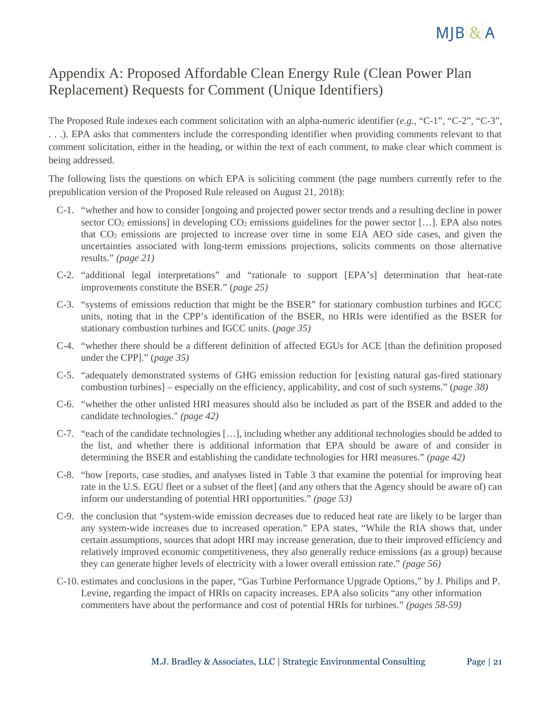

# Appendix A: Proposed Affordable Clean Energy Rule (Clean Power Plan Replacement) Requests for Comment (Unique Identifiers)

The Proposed Rule indexes each comment solicitation with an alpha-numeric identifier (*e.g.,* "C-1", "C-2", "C-3", . . .). EPA asks that commenters include the corresponding identifier when providing comments relevant to that comment solicitation, either in the heading, or within the text of each comment, to make clear which comment is being addressed.

The following lists the questions on which EPA is soliciting comment (the page numbers currently refer to the prepublication version of the Proposed Rule released on August 21, 2018):

- C-1. "whether and how to consider [ongoing and projected power sector trends and a resulting decline in power sector  $CO_2$  emissions] in developing  $CO_2$  emissions guidelines for the power sector [...]. EPA also notes that  $CO<sub>2</sub>$  emissions are projected to increase over time in some EIA AEO side cases, and given the uncertainties associated with long-term emissions projections, solicits comments on those alternative results." *(page 21)*
- C-2. "additional legal interpretations" and "rationale to support [EPA's] determination that heat-rate improvements constitute the BSER." (*page 25)*
- C-3. "systems of emissions reduction that might be the BSER" for stationary combustion turbines and IGCC units, noting that in the CPP's identification of the BSER, no HRIs were identified as the BSER for stationary combustion turbines and IGCC units. (*page 35)*
- C-4. "whether there should be a different definition of affected EGUs for ACE [than the definition proposed under the CPP]." (*page 35)*
- C-5. "adequately demonstrated systems of GHG emission reduction for [existing natural gas-fired stationary combustion turbines] – especially on the efficiency, applicability, and cost of such systems." (*page 38)*
- C-6. "whether the other unlisted HRI measures should also be included as part of the BSER and added to the candidate technologies." *(page 42)*
- C-7. "each of the candidate technologies […], including whether any additional technologies should be added to the list, and whether there is additional information that EPA should be aware of and consider in determining the BSER and establishing the candidate technologies for HRI measures." *(page 42)*
- C-8. "how [reports, case studies, and analyses listed in Table 3 that examine the potential for improving heat rate in the U.S. EGU fleet or a subset of the fleet] (and any others that the Agency should be aware of) can inform our understanding of potential HRI opportunities." *(page 53)*
- C-9. the conclusion that "system-wide emission decreases due to reduced heat rate are likely to be larger than any system-wide increases due to increased operation." EPA states, "While the RIA shows that, under certain assumptions, sources that adopt HRI may increase generation, due to their improved efficiency and relatively improved economic competitiveness, they also generally reduce emissions (as a group) because they can generate higher levels of electricity with a lower overall emission rate." *(page 56)*
- C-10. estimates and conclusions in the paper, "Gas Turbine Performance Upgrade Options," by J. Philips and P. Levine, regarding the impact of HRIs on capacity increases. EPA also solicits "any other information commenters have about the performance and cost of potential HRIs for turbines." *(pages 58-59)*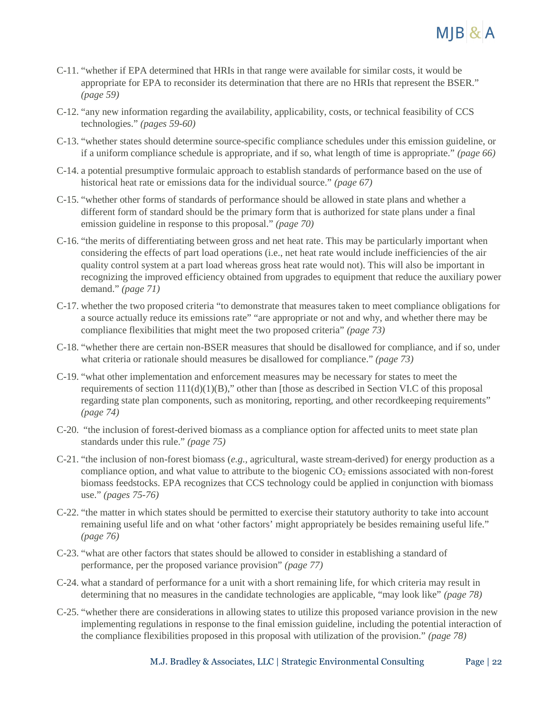- C-11. "whether if EPA determined that HRIs in that range were available for similar costs, it would be appropriate for EPA to reconsider its determination that there are no HRIs that represent the BSER." *(page 59)*
- C-12. "any new information regarding the availability, applicability, costs, or technical feasibility of CCS technologies." *(pages 59-60)*
- C-13. "whether states should determine source-specific compliance schedules under this emission guideline, or if a uniform compliance schedule is appropriate, and if so, what length of time is appropriate." *(page 66)*
- C-14. a potential presumptive formulaic approach to establish standards of performance based on the use of historical heat rate or emissions data for the individual source." *(page 67)*
- C-15. "whether other forms of standards of performance should be allowed in state plans and whether a different form of standard should be the primary form that is authorized for state plans under a final emission guideline in response to this proposal." *(page 70)*
- C-16. "the merits of differentiating between gross and net heat rate. This may be particularly important when considering the effects of part load operations (i.e., net heat rate would include inefficiencies of the air quality control system at a part load whereas gross heat rate would not). This will also be important in recognizing the improved efficiency obtained from upgrades to equipment that reduce the auxiliary power demand." *(page 71)*
- C-17. whether the two proposed criteria "to demonstrate that measures taken to meet compliance obligations for a source actually reduce its emissions rate" "are appropriate or not and why, and whether there may be compliance flexibilities that might meet the two proposed criteria" *(page 73)*
- C-18. "whether there are certain non-BSER measures that should be disallowed for compliance, and if so, under what criteria or rationale should measures be disallowed for compliance." *(page 73)*
- C-19. "what other implementation and enforcement measures may be necessary for states to meet the requirements of section  $111(d)(1)(B)$ ," other than [those as described in Section VI.C of this proposal regarding state plan components, such as monitoring, reporting, and other recordkeeping requirements" *(page 74)*
- C-20. "the inclusion of forest-derived biomass as a compliance option for affected units to meet state plan standards under this rule." *(page 75)*
- C-21. "the inclusion of non-forest biomass (*e.g.,* agricultural, waste stream-derived) for energy production as a compliance option, and what value to attribute to the biogenic  $CO<sub>2</sub>$  emissions associated with non-forest biomass feedstocks. EPA recognizes that CCS technology could be applied in conjunction with biomass use." *(pages 75-76)*
- C-22. "the matter in which states should be permitted to exercise their statutory authority to take into account remaining useful life and on what 'other factors' might appropriately be besides remaining useful life." *(page 76)*
- C-23. "what are other factors that states should be allowed to consider in establishing a standard of performance, per the proposed variance provision" *(page 77)*
- C-24. what a standard of performance for a unit with a short remaining life, for which criteria may result in determining that no measures in the candidate technologies are applicable, "may look like" *(page 78)*
- C-25. "whether there are considerations in allowing states to utilize this proposed variance provision in the new implementing regulations in response to the final emission guideline, including the potential interaction of the compliance flexibilities proposed in this proposal with utilization of the provision." *(page 78)*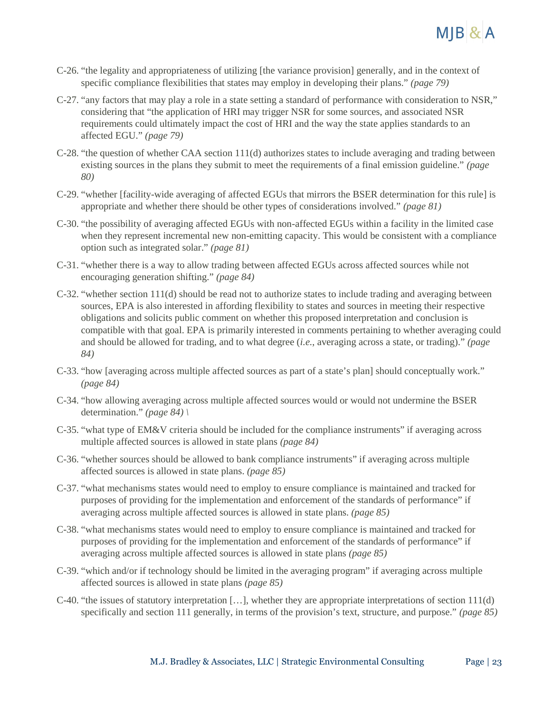

- C-26. "the legality and appropriateness of utilizing [the variance provision] generally, and in the context of specific compliance flexibilities that states may employ in developing their plans." *(page 79)*
- C-27. "any factors that may play a role in a state setting a standard of performance with consideration to NSR," considering that "the application of HRI may trigger NSR for some sources, and associated NSR requirements could ultimately impact the cost of HRI and the way the state applies standards to an affected EGU." *(page 79)*
- C-28. "the question of whether CAA section 111(d) authorizes states to include averaging and trading between existing sources in the plans they submit to meet the requirements of a final emission guideline." *(page 80)*
- C-29. "whether [facility-wide averaging of affected EGUs that mirrors the BSER determination for this rule] is appropriate and whether there should be other types of considerations involved." *(page 81)*
- C-30. "the possibility of averaging affected EGUs with non-affected EGUs within a facility in the limited case when they represent incremental new non-emitting capacity. This would be consistent with a compliance option such as integrated solar." *(page 81)*
- C-31. "whether there is a way to allow trading between affected EGUs across affected sources while not encouraging generation shifting." *(page 84)*
- C-32. "whether section 111(d) should be read not to authorize states to include trading and averaging between sources, EPA is also interested in affording flexibility to states and sources in meeting their respective obligations and solicits public comment on whether this proposed interpretation and conclusion is compatible with that goal. EPA is primarily interested in comments pertaining to whether averaging could and should be allowed for trading, and to what degree (*i.e.*, averaging across a state, or trading)." *(page 84)*
- C-33. "how [averaging across multiple affected sources as part of a state's plan] should conceptually work." *(page 84)*
- C-34. "how allowing averaging across multiple affected sources would or would not undermine the BSER determination." *(page 84) \*
- C-35. "what type of EM&V criteria should be included for the compliance instruments" if averaging across multiple affected sources is allowed in state plans *(page 84)*
- C-36. "whether sources should be allowed to bank compliance instruments" if averaging across multiple affected sources is allowed in state plans. *(page 85)*
- C-37. "what mechanisms states would need to employ to ensure compliance is maintained and tracked for purposes of providing for the implementation and enforcement of the standards of performance" if averaging across multiple affected sources is allowed in state plans. *(page 85)*
- C-38. "what mechanisms states would need to employ to ensure compliance is maintained and tracked for purposes of providing for the implementation and enforcement of the standards of performance" if averaging across multiple affected sources is allowed in state plans *(page 85)*
- C-39. "which and/or if technology should be limited in the averaging program" if averaging across multiple affected sources is allowed in state plans *(page 85)*
- C-40. "the issues of statutory interpretation […], whether they are appropriate interpretations of section 111(d) specifically and section 111 generally, in terms of the provision's text, structure, and purpose." *(page 85)*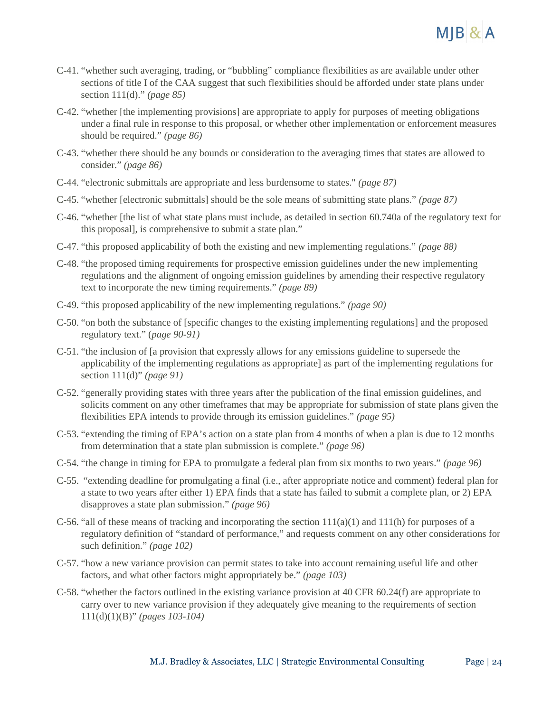

- C-41. "whether such averaging, trading, or "bubbling" compliance flexibilities as are available under other sections of title I of the CAA suggest that such flexibilities should be afforded under state plans under section 111(d)." *(page 85)*
- C-42. "whether [the implementing provisions] are appropriate to apply for purposes of meeting obligations under a final rule in response to this proposal, or whether other implementation or enforcement measures should be required." *(page 86)*
- C-43. "whether there should be any bounds or consideration to the averaging times that states are allowed to consider." *(page 86)*
- C-44. "electronic submittals are appropriate and less burdensome to states." *(page 87)*
- C-45. "whether [electronic submittals] should be the sole means of submitting state plans." *(page 87)*
- C-46. "whether [the list of what state plans must include, as detailed in section 60.740a of the regulatory text for this proposal], is comprehensive to submit a state plan."
- C-47. "this proposed applicability of both the existing and new implementing regulations." *(page 88)*
- C-48. "the proposed timing requirements for prospective emission guidelines under the new implementing regulations and the alignment of ongoing emission guidelines by amending their respective regulatory text to incorporate the new timing requirements." *(page 89)*
- C-49. "this proposed applicability of the new implementing regulations." *(page 90)*
- C-50. "on both the substance of [specific changes to the existing implementing regulations] and the proposed regulatory text." (*page 90-91)*
- C-51. "the inclusion of [a provision that expressly allows for any emissions guideline to supersede the applicability of the implementing regulations as appropriate] as part of the implementing regulations for section 111(d)" *(page 91)*
- C-52. "generally providing states with three years after the publication of the final emission guidelines, and solicits comment on any other timeframes that may be appropriate for submission of state plans given the flexibilities EPA intends to provide through its emission guidelines." *(page 95)*
- C-53. "extending the timing of EPA's action on a state plan from 4 months of when a plan is due to 12 months from determination that a state plan submission is complete." *(page 96)*
- C-54. "the change in timing for EPA to promulgate a federal plan from six months to two years." *(page 96)*
- C-55. "extending deadline for promulgating a final (i.e., after appropriate notice and comment) federal plan for a state to two years after either 1) EPA finds that a state has failed to submit a complete plan, or 2) EPA disapproves a state plan submission." *(page 96)*
- C-56. "all of these means of tracking and incorporating the section  $111(a)(1)$  and  $111(h)$  for purposes of a regulatory definition of "standard of performance," and requests comment on any other considerations for such definition." *(page 102)*
- C-57. "how a new variance provision can permit states to take into account remaining useful life and other factors, and what other factors might appropriately be." *(page 103)*
- C-58. "whether the factors outlined in the existing variance provision at 40 CFR 60.24(f) are appropriate to carry over to new variance provision if they adequately give meaning to the requirements of section 111(d)(1)(B)" *(pages 103-104)*